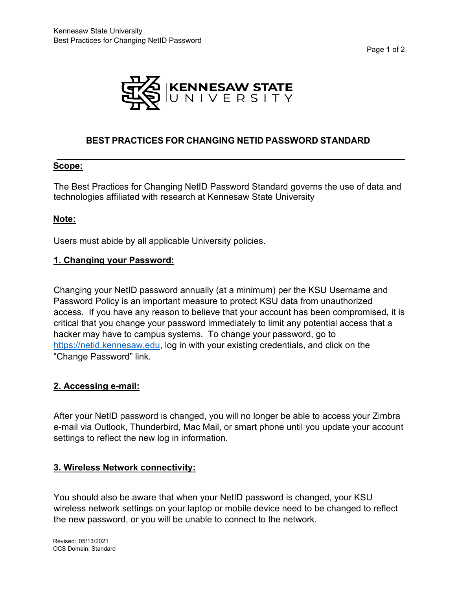Page **1** of 2



# **BEST PRACTICES FOR CHANGING NETID PASSWORD STANDARD**

### **Scope:**

The Best Practices for Changing NetID Password Standard governs the use of data and technologies affiliated with research at Kennesaw State University

#### **Note:**

Users must abide by all applicable University policies.

### **1. Changing your Password:**

Changing your NetID password annually (at a minimum) per the KSU Username and Password Policy is an important measure to protect KSU data from unauthorized access. If you have any reason to believe that your account has been compromised, it is critical that you change your password immediately to limit any potential access that a hacker may have to campus systems. To change your password, go to [https://netid.kennesaw.edu,](https://netid.kennesaw.edu/) log in with your existing credentials, and click on the "Change Password" link.

# **2. Accessing e-mail:**

After your NetID password is changed, you will no longer be able to access your Zimbra e-mail via Outlook, Thunderbird, Mac Mail, or smart phone until you update your account settings to reflect the new log in information.

# **3. Wireless Network connectivity:**

You should also be aware that when your NetID password is changed, your KSU wireless network settings on your laptop or mobile device need to be changed to reflect the new password, or you will be unable to connect to the network.